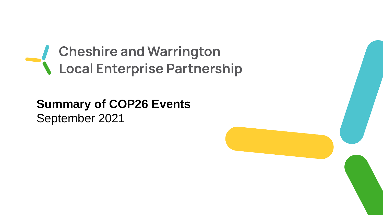# Cheshire and Warrington<br>
Local Enterprise Partnership

## **Summary of COP26 Events**  September 2021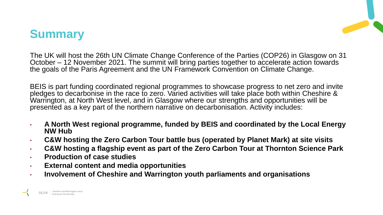### **Summary**

The UK will host the 26th UN Climate Change Conference of the Parties (COP26) in Glasgow on 31 October – 12 November 2021. The summit will bring parties together to accelerate action towards the goals of the Paris Agreement and the UN Framework Convention on Climate Change.

BEIS is part funding coordinated regional programmes to showcase progress to net zero and invite pledges to decarbonise in the race to zero. Varied activities will take place both within Cheshire & Warrington, at North West level, and in Glasgow where our strengths and opportunities will be presented as a key part of the northern narrative on decarbonisation. Activity includes:

- **A North West regional programme, funded by BEIS and coordinated by the Local Energy NW Hub**
- **C&W hosting the Zero Carbon Tour battle bus (operated by Planet Mark) at site visits**
- **C&W hosting a flagship event as part of the Zero Carbon Tour at Thornton Science Park**
- **Production of case studies**
- **External content and media opportunities**
- **Involvement of Cheshire and Warrington youth parliaments and organisations**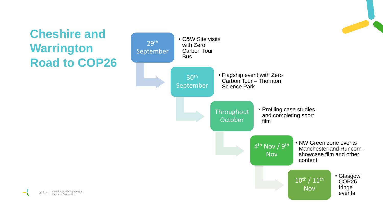# **Cheshire and Warrington Road to COP26**



O2/14 Cheshire and Warrington Local<br>
Enterprise Partnership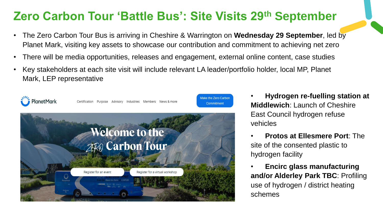#### **Zero Carbon Tour 'Battle Bus': Site Visits 29th September**

- The Zero Carbon Tour Bus is arriving in Cheshire & Warrington on **Wednesday 29 September**, led by Planet Mark, visiting key assets to showcase our contribution and commitment to achieving net zero
- There will be media opportunities, releases and engagement, external online content, case studies
- Key stakeholders at each site visit will include relevant LA leader/portfolio holder, local MP, Planet Mark, LEP representative



- **Hydrogen re-fuelling station at Middlewich**: Launch of Cheshire East Council hydrogen refuse vehicles
- **Protos at Ellesmere Port**: The site of the consented plastic to hydrogen facility
- **Encirc glass manufacturing and/or Alderley Park TBC**: Profiling use of hydrogen / district heating schemes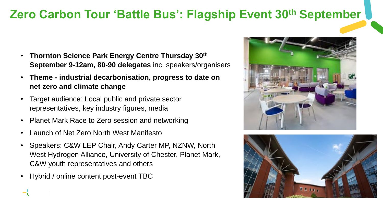#### **Zero Carbon Tour 'Battle Bus': Flagship Event 30th September**

- **Thornton Science Park Energy Centre Thursday 30th September 9-12am, 80-90 delegates** inc. speakers/organisers
- **Theme - industrial decarbonisation, progress to date on net zero and climate change**
- Target audience: Local public and private sector representatives, key industry figures, media
- Planet Mark Race to Zero session and networking
- Launch of Net Zero North West Manifesto
- Speakers: C&W LEP Chair, Andy Carter MP, NZNW, North West Hydrogen Alliance, University of Chester, Planet Mark, C&W youth representatives and others
- Hybrid / online content post-event TBC



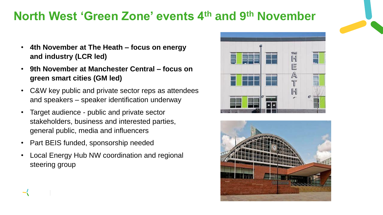#### **North West 'Green Zone' events 4th and 9th November**

- **4th November at The Heath – focus on energy and industry (LCR led)**
- **9th November at Manchester Central – focus on green smart cities (GM led)**
- C&W key public and private sector reps as attendees and speakers – speaker identification underway
- Target audience public and private sector stakeholders, business and interested parties, general public, media and influencers
- Part BEIS funded, sponsorship needed
- Local Energy Hub NW coordination and regional steering group



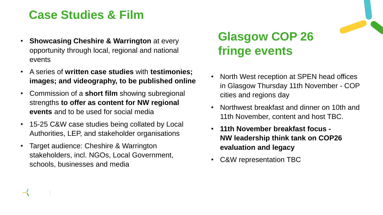### **Case Studies & Film**

- **Showcasing Cheshire & Warrington at every** opportunity through local, regional and national events
- A series of **written case studies** with **testimonies; images; and videography, to be published online**
- Commission of a **short film** showing subregional strengths **to offer as content for NW regional events** and to be used for social media
- 15-25 C&W case studies being collated by Local Authorities, LEP, and stakeholder organisations
- Target audience: Cheshire & Warrington stakeholders, incl. NGOs, Local Government, schools, businesses and media

# **Glasgow COP 26 fringe events**

- North West reception at SPEN head offices in Glasgow Thursday 11th November - COP cities and regions day
- Northwest breakfast and dinner on 10th and 11th November, content and host TBC.
- **11th November breakfast focus - NW leadership think tank on COP26 evaluation and legacy**
- C&W representation TBC